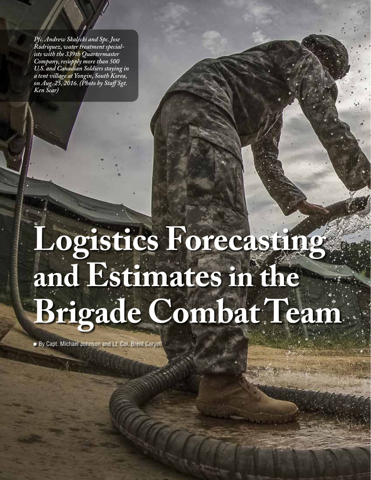*Pfc. Andrew Skalecki and Spc. Jose Rodriquez, water treatment specialists with the 339th Quartermaster Company, resupply more than 500 U.S. and Canadian Soldiers staying in a tent village at Yongin, South Korea, on Aug. 25, 2016. (Photo by Staff Sgt. Ken Scar)* 

# **Logistics Forecasting and Estimates in the Brigade Combat Team**

By Capt. Michael Johnson and Lt. Col. Brent Coryell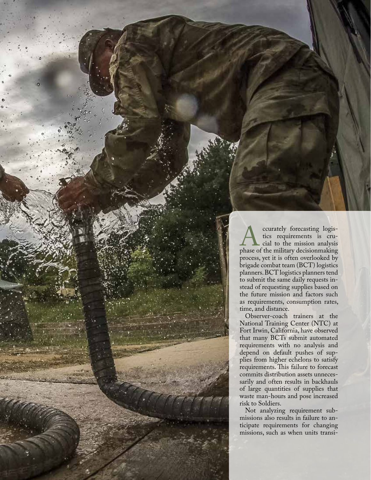**Anche Structure Structure Control**<br>tics requirements is crucial to the mission analysis<br>phase of the military decisionmaking tics requirements is crucial to the mission analysis process, yet it is often overlooked by brigade combat team (BCT) logistics planners. BCT logistics planners tend to submit the same daily requests instead of requesting supplies based on the future mission and factors such as requirements, consumption rates, time, and distance.

Observer-coach trainers at the National Training Center (NTC) at Fort Irwin, California, have observed that many BCTs submit automated requirements with no analysis and depend on default pushes of supplies from higher echelons to satisfy requirements. This failure to forecast commits distribution assets unnecessarily and often results in backhauls of large quantities of supplies that waste man-hours and pose increased risk to Soldiers.

Not analyzing requirement submissions also results in failure to anticipate requirements for changing missions, such as when units transi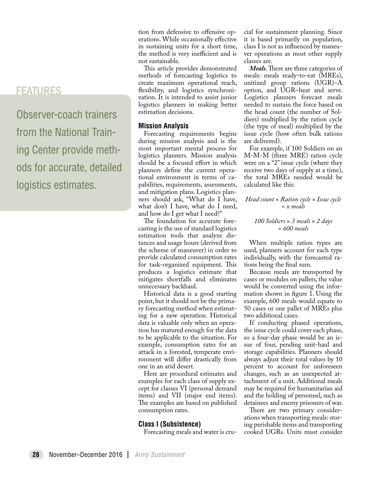Observer-coach trainers from the National Training Center provide methods for accurate, detailed logistics estimates.

tion from defensive to offensive operations. While occasionally effective in sustaining units for a short time, the method is very inefficient and is not sustainable.

This article provides demonstrated methods of forecasting logistics to create maximum operational reach, flexibility, and logistics synchronization. It is intended to assist junior logistics planners in making better estimation decisions.

# **Mission Analysis**

Forecasting requirements begins during mission analysis and is the most important mental process for logistics planners. Mission analysis should be a focused effort in which planners define the current operational environment in terms of capabilities, requirements, assessments, and mitigation plans. Logistics planners should ask, "What do I have, what don't I have, what do I need, and how do I get what I need?"

The foundation for accurate forecasting is the use of standard logistics estimation tools that analyze distances and usage hours (derived from the scheme of maneuver) in order to provide calculated consumption rates for task-organized equipment. This produces a logistics estimate that mitigates shortfalls and eliminates unnecessary backhaul.

Historical data is a good starting point, but it should not be the primary forecasting method when estimating for a new operation. Historical data is valuable only when an operation has matured enough for the data to be applicable to the situation. For example, consumption rates for an attack in a forested, temperate environment will differ drastically from one in an arid desert.

Here are procedural estimates and examples for each class of supply except for classes VI (personal demand items) and VII (major end items). The examples are based on published consumption rates.

# **Class I (Subsistence)**

Forecasting meals and water is cru-

cial for sustainment planning. Since it is based primarily on population, class I is not as influenced by maneuver operations as most other supply classes are.

*Meals.* There are three categories of meals: meals ready-to-eat (MREs), unitized group rations (UGR)–A option, and UGR–heat and serve. Logistics planners forecast meals needed to sustain the force based on the head count (the number of Soldiers) multiplied by the ration cycle (the type of meal) multiplied by the issue cycle (how often bulk rations are delivered).

For example, if 100 Soldiers on an M-M-M (three MRE) ration cycle were on a "2" issue cycle (where they receive two days of supply at a time), the total MREs needed would be calculated like this:

*Head count × Ration cycle × Issue cycle = x meals*

## *100 Soldiers × 3 meals × 2 days = 600 meals*

When multiple ration types are used, planners account for each type individually, with the forecasted rations being the final sum.

Because meals are transported by cases or modules on pallets, the value would be converted using the information shown in figure 1. Using the example, 600 meals would equate to 50 cases or one pallet of MREs plus two additional cases.

If conducting phased operations, the issue cycle could cover each phase, so a four-day phase would be an issue of four, pending unit-haul and storage capabilities. Planners should always adjust their total values by 10 percent to account for unforeseen changes, such as an unexpected attachment of a unit. Additional meals may be required for humanitarian aid and the holding of personnel, such as detainees and enemy prisoners of war.

There are two primary considerations when transporting meals: storing perishable items and transporting cooked UGRs. Units must consider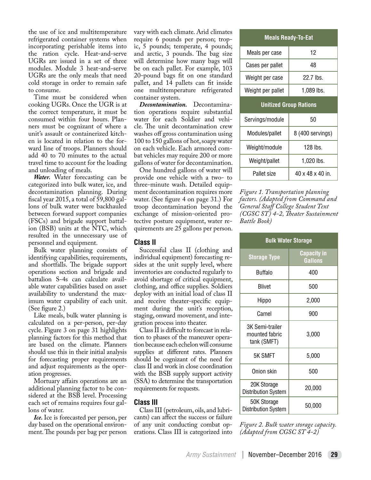the use of ice and multitemperature refrigerated container systems when incorporating perishable items into the ration cycle. Heat-and-serve UGRs are issued in a set of three modules. Module 3 heat-and-serve UGRs are the only meals that need cold storage in order to remain safe to consume.

Time must be considered when cooking UGRs. Once the UGR is at the correct temperature, it must be consumed within four hours. Planners must be cognizant of where a unit's assault or containerized kitchen is located in relation to the forward line of troops. Planners should add 40 to 70 minutes to the actual travel time to account for the loading and unloading of meals.

*Water.* Water forecasting can be categorized into bulk water, ice, and decontamination planning. During fiscal year 2015, a total of 59,800 gallons of bulk water were backhauled between forward support companies (FSCs) and brigade support battalion (BSB) units at the NTC, which resulted in the unnecessary use of personnel and equipment.

Bulk water planning consists of identifying capabilities, requirements, and shortfalls. The brigade support operations section and brigade and battalion S-4s can calculate available water capabilities based on asset availability to understand the maximum water capability of each unit. (See figure 2.)

Like meals, bulk water planning is calculated on a per-person, per-day cycle. Figure 3 on page 31 highlights planning factors for this method that are based on the climate. Planners should use this in their initial analysis for forecasting proper requirements and adjust requirements as the operation progresses.

Mortuary affairs operations are an additional planning factor to be considered at the BSB level. Processing each set of remains requires four gallons of water.

*Ice.* Ice is forecasted per person, per day based on the operational environment. The pounds per bag per person vary with each climate. Arid climates require 6 pounds per person; tropic, 5 pounds; temperate, 4 pounds; and arctic, 3 pounds. The bag size will determine how many bags will be on each pallet. For example, 103 20-pound bags fit on one standard pallet, and 14 pallets can fit inside one multitemperature refrigerated container system.

*Decontamination.* Decontamination operations require substantial water for each Soldier and vehicle. The unit decontamination crew washes off gross contamination using 100 to 150 gallons of hot, soapy water on each vehicle. Each armored combat vehicles may require 200 or more gallons of water for decontamination.

One hundred gallons of water will provide one vehicle with a two- to three-minute wash. Detailed equipment decontamination requires more water. (See figure 4 on page 31.) For troop decontamination beyond the exchange of mission-oriented protective posture equipment, water requirements are 25 gallons per person.

# **Class II**

Successful class II (clothing and individual equipment) forecasting resides at the unit supply level, where inventories are conducted regularly to avoid shortage of critical equipment, clothing, and office supplies. Soldiers deploy with an initial load of class II and receive theater-specific equipment during the unit's reception, staging, onward movement, and integration process into theater.

Class II is difficult to forecast in relation to phases of the maneuver operation because each echelon will consume supplies at different rates. Planners should be cognizant of the need for class II and work in close coordination with the BSB supply support activity (SSA) to determine the transportation requirements for requests.

# **Class III**

Class III (petroleum, oils, and lubricants) can affect the success or failure of any unit conducting combat operations. Class III is categorized into

| <b>Meals Ready-To-Eat</b>     |                  |  |  |  |
|-------------------------------|------------------|--|--|--|
| Meals per case                | 12               |  |  |  |
| Cases per pallet              | 48               |  |  |  |
| Weight per case               | 22.7 lbs.        |  |  |  |
| Weight per pallet             | 1,089 lbs.       |  |  |  |
| <b>Unitized Group Rations</b> |                  |  |  |  |
| Servings/module               | 50               |  |  |  |
| Modules/pallet                | 8 (400 servings) |  |  |  |
| Weight/module                 | 128 lbs.         |  |  |  |
| Weight/pallet                 | 1,020 lbs.       |  |  |  |
| Pallet size                   | 40 x 48 x 40 in. |  |  |  |

*Figure 1. Transportation planning factors. (Adapted from Command and General Staff College Student Text (CGSC ST) 4-2, Theater Sustainment Battle Book)*

| <b>Bulk Water Storage</b>                        |                                      |  |  |  |
|--------------------------------------------------|--------------------------------------|--|--|--|
| <b>Storage Type</b>                              | <b>Capacity in</b><br><b>Gallons</b> |  |  |  |
| Buffalo                                          | 400                                  |  |  |  |
| <b>Blivet</b>                                    | 500                                  |  |  |  |
| Hippo                                            | 2,000                                |  |  |  |
| Camel                                            | 900                                  |  |  |  |
| 3K Semi-trailer<br>mounted fabric<br>tank (SMFT) | 3,000                                |  |  |  |
| 5K SMFT                                          | 5,000                                |  |  |  |
| Onion skin                                       | 500                                  |  |  |  |
| 20K Storage<br><b>Distribution System</b>        | 20,000                               |  |  |  |
| 50K Storage<br><b>Distribution System</b>        | 50,000                               |  |  |  |

*Figure 2. Bulk water storage capacity. (Adapted from CGSC ST 4-2)*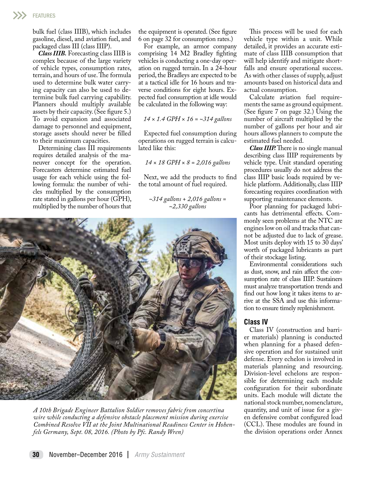bulk fuel (class IIIB), which includes gasoline, diesel, and aviation fuel, and packaged class III (class IIIP).

*Class IIIB.* Forecasting class IIIB is complex because of the large variety of vehicle types, consumption rates, terrain, and hours of use. The formula used to determine bulk water carrying capacity can also be used to determine bulk fuel carrying capability. Planners should multiply available assets by their capacity. (See figure 5.) To avoid expansion and associated damage to personnel and equipment, storage assets should never be filled to their maximum capacities.

Determining class III requirements requires detailed analysis of the maneuver concept for the operation. Forecasters determine estimated fuel usage for each vehicle using the following formula: the number of vehicles multiplied by the consumption rate stated in gallons per hour (GPH), multiplied by the number of hours that the equipment is operated. (See figure 6 on page 32 for consumption rates.)

For example, an armor company comprising 14 M2 Bradley fighting vehicles is conducting a one-day operation on rugged terrain. In a 24-hour period, the Bradleys are expected to be at a tactical idle for 16 hours and traverse conditions for eight hours. Expected fuel consumption at idle would be calculated in the following way:

## *14 × 1.4 GPH × 16 = ~314 gallons*

Expected fuel consumption during operations on rugged terrain is calculated like this:

#### *14 × 18 GPH × 8 = 2,016 gallons*

Next, we add the products to find the total amount of fuel required.

*~314 gallons + 2,016 gallons = ~2,330 gallons*



*A 10th Brigade Engineer Battalion Soldier removes fabric from concertina wire while conducting a defensive obstacle placement mission during exercise Combined Resolve VII at the Joint Multinational Readiness Center in Hohenfels Germany, Sept. 08, 2016. (Photo by Pfc. Randy Wren)*

This process will be used for each vehicle type within a unit. While detailed, it provides an accurate estimate of class IIIB consumption that will help identify and mitigate shortfalls and ensure operational success. As with other classes of supply, adjust amounts based on historical data and actual consumption.

Calculate aviation fuel requirements the same as ground equipment. (See figure 7 on page 32.) Using the number of aircraft multiplied by the number of gallons per hour and air hours allows planners to compute the estimated fuel needed.

*Class IIIP.* There is no single manual describing class IIIP requirements by vehicle type. Unit standard operating procedures usually do not address the class IIIP basic loads required by vehicle platform. Additionally, class IIIP forecasting requires coordination with supporting maintenance elements.

Poor planning for packaged lubricants has detrimental effects. Commonly seen problems at the NTC are engines low on oil and tracks that cannot be adjusted due to lack of grease. Most units deploy with 15 to 30 days' worth of packaged lubricants as part of their stockage listing.

Environmental considerations such as dust, snow, and rain affect the consumption rate of class IIIP. Sustainers must analyze transportation trends and find out how long it takes items to arrive at the SSA and use this information to ensure timely replenishment.

### **Class IV**

Class IV (construction and barrier materials) planning is conducted when planning for a phased defensive operation and for sustained unit defense. Every echelon is involved in materials planning and resourcing. Division-level echelons are responsible for determining each module configuration for their subordinate units. Each module will dictate the national stock number, nomenclature, quantity, and unit of issue for a given defensive combat configured load (CCL). These modules are found in the division operations order Annex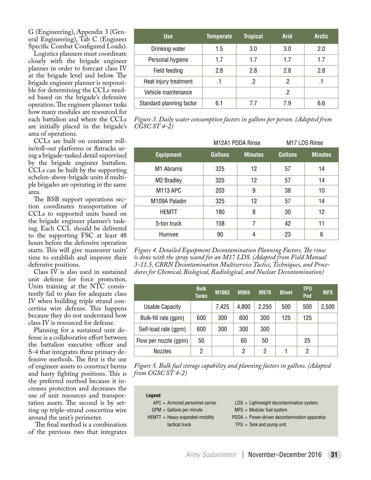G (Engineering), Appendix 3 (General Engineering), Tab C (Engineer Specific Combat Configured Loads).

Logistics planners must coordinate closely with the brigade engineer planner in order to forecast class IV at the brigade level and below. The brigade engineer planner is responsible for determining the CCLs needed based on the brigade's defensive operation. The engineer planner tasks how many modules are resourced for each battalion and where the CCLs are initially placed in the brigade's area of operations.

CCLs are built on container rollin/roll-out platforms or flatracks using a brigade-tasked detail supervised by the brigade engineer battalion. CCLs can be built by the supporting echelon-above-brigade units if multiple brigades are operating in the same area.

The BSB support operations section coordinates transportation of CCLs to supported units based on the brigade engineer planner's tasking. Each CCL should be delivered to the supporting FSC at least 48 hours before the defensive operation starts. This will give maneuver units' time to establish and improve their defensive positions.

Class IV is also used in sustained unit defense for force protection. Units training at the NTC consistently fail to plan for adequate class IV when building triple strand concertina wire defense. This happens because they do not understand how class IV is resourced for defense.

Planning for a sustained unit defense is a collaborative effort between the battalion executive officer and S-4 that integrates three primary defensive methods. The first is the use of engineer assets to construct berms and hasty fighting positions. This is the preferred method because it increases protection and decreases the use of unit resources and transportation assets. The second is by setting up triple-strand concertina wire around the unit's perimeter.

 The final method is a combination of the previous two that integrates

| <b>Use</b>               | Temperate | <b>Tropical</b> | <b>Arid</b> | <b>Arctic</b> |
|--------------------------|-----------|-----------------|-------------|---------------|
| Drinking water           | 1.5       | 3.0             | 3.0         | 2.0           |
| Personal hygiene         | 1.7       | 1.7             | 1.7         | 1.7           |
| Field feeding            | 2.8       | 2.8             | 2.8         | 2.8           |
| Heat injury treatment    |           | 2               | .2          |               |
| Vehicle maintenance      |           |                 | .2          |               |
| Standard planning factor | 6.1       | 77              | 7.9         | 6.6           |

*Figure 3. Daily water consumption factors in gallons per person. (Adapted from CGSC ST 4-2)*

|                        |                | M12A1 PDDA Rinse | M17 LDS Rinse  |                |  |
|------------------------|----------------|------------------|----------------|----------------|--|
| <b>Equipment</b>       | <b>Gallons</b> | <b>Minutes</b>   | <b>Gallons</b> | <b>Minutes</b> |  |
| M <sub>1</sub> Abrams  | 325            | 12               | 57             | 14             |  |
| M <sub>2</sub> Bradley | 325            | 12               | 57             | 14             |  |
| M113 APC               | 203            | 9                | 38             | 10             |  |
| M109A Paladin          | 325            | 12               | 57             | 14             |  |
| <b>HEMTT</b>           | 180            | 8                | 30             | 12             |  |
| 5-ton truck            | 158            | 7                | 42             | 11             |  |
| Humvee                 | 90             | 4                | 23             | 6              |  |

*Figure 4. Detailed Equipment Decontamination Planning Factors. The rinse is done with the spray wand for an M17 LDS. (Adapted from Field Manual 3-11.5, CBRN Decontamination Multiservice Tactics, Techniques, and Procedures for Chemical, Biological, Radiological, and Nuclear Decontamination)*

|                        | <b>Bulk</b><br><b>Tanks</b> | M1062 | M969  | <b>M978</b> | <b>Blivet</b> | <b>TPU</b><br>Pod | <b>MFS</b> |
|------------------------|-----------------------------|-------|-------|-------------|---------------|-------------------|------------|
| <b>Usable Capacity</b> |                             | 7,425 | 4,800 | 2,250       | 500           | 500               | 2,500      |
| Bulk-fill rate (gpm)   | 600                         | 300   | 600   | 300         | 125           | 125               |            |
| Self-load rate (gpm)   | 600                         | 300   | 300   | 300         |               |                   |            |
| Flow per nozzle (gpm)  | 50                          |       | 60    | 50          |               | 25                |            |
| <b>Nozzles</b>         | 2                           |       | 2     | 2           |               | 2                 |            |

*Figure 5. Bulk fuel storage capability and planning factors in gallons. (Adapted from CGSC ST 4-2)*

| Legend                            |                                                 |
|-----------------------------------|-------------------------------------------------|
| $APC = Armored$ personnel carrier | $LDS = Lightweight decontamination system$      |
| $GPM =$ Gallons per minute        | $MFS = Modular fuel system$                     |
| $HEMTT = Heavy expanded-mobility$ | $PDDA = Power-driven decontamination apparatus$ |
| tactical truck                    | $TPU =$ Tank and pump unit                      |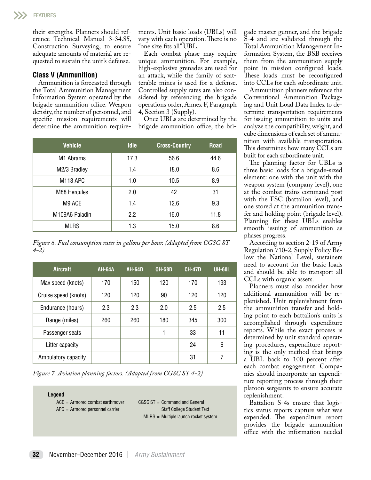their strengths. Planners should reference Technical Manual 3-34.85, Construction Surveying, to ensure adequate amounts of material are requested to sustain the unit's defense.

# **Class V (Ammunition)**

Ammunition is forecasted through the Total Ammunition Management Information System operated by the brigade ammunition office. Weapon density, the number of personnel, and specific mission requirements will determine the ammunition requirements. Unit basic loads (UBLs) will vary with each operation. There is no "one size fits all" UBL.

Each combat phase may require unique ammunition. For example, high-explosive grenades are used for an attack, while the family of scatterable mines is used for a defense. Controlled supply rates are also considered by referencing the brigade operations order, Annex F, Paragraph 4, Section 3 (Supply).

Once UBLs are determined by the brigade ammunition office, the bri-

| <b>Vehicle</b>        | <b>Idle</b> | <b>Cross-Country</b> | <b>Road</b> |
|-----------------------|-------------|----------------------|-------------|
| M <sub>1</sub> Abrams | 17.3        | 56.6                 | 44.6        |
| M2/3 Bradley          | 1.4         | 18.0                 | 8.6         |
| M113 APC              | 1.0         | 10.5                 | 8.9         |
| M88 Hercules          | 2.0         | 42                   | 31          |
| M9 ACE                | 1.4         | 12.6                 | 9.3         |
| M109A6 Paladin        | 2.2         | 16.0                 | 11.8        |
| <b>MLRS</b>           | 1.3         | 15.0                 | 8.6         |

*Figure 6. Fuel consumption rates in gallons per hour. (Adapted from CGSC ST 4-2)*

| <b>Aircraft</b>      | <b>AH-64A</b> | <b>AH-64D</b> | <b>OH-58D</b> | <b>CH-47D</b> | UH-60L |
|----------------------|---------------|---------------|---------------|---------------|--------|
| Max speed (knots)    | 170           | 150           | 120           | 170           | 193    |
| Cruise speed (knots) | 120           | 120           | 90            | 120           | 120    |
| Endurance (hours)    | 2.3           | 2.3           | 2.0           | 2.5           | 2.5    |
| Range (miles)        | 260           | 260           | 180           | 345           | 300    |
| Passenger seats      |               |               | 1             | 33            | 11     |
| Litter capacity      |               |               |               | 24            | 6      |
| Ambulatory capacity  |               |               |               | 31            | 7      |

*Figure 7. Aviation planning factors. (Adapted from CGSC ST 4-2)*

**Legend**  ACE = Armored combat earthmover APC = Armored personnel carrier CGSC ST = Command and General Staff College Student Text MLRS = Multiple launch rocket system gade master gunner, and the brigade S-4 and are validated through the Total Ammunition Management Information System, the BSB receives them from the ammunition supply point in mission configured loads. These loads must be reconfigured into CCLs for each subordinate unit.

Ammunition planners reference the Conventional Ammunition Packaging and Unit Load Data Index to determine transportation requirements for issuing ammunition to units and analyze the compatibility, weight, and cube dimensions of each set of ammunition with available transportation. This determines how many CCLs are built for each subordinate unit.

The planning factor for UBLs is three basic loads for a brigade-sized element: one with the unit with the weapon system (company level), one at the combat trains command post with the FSC (battalion level), and one stored at the ammunition transfer and holding point (brigade level). Planning for these UBLs enables smooth issuing of ammunition as phases progress.

According to section 2-19 of Army Regulation 710-2, Supply Policy Below the National Level, sustainers need to account for the basic loads and should be able to transport all CCLs with organic assets.

Planners must also consider how additional ammunition will be replenished. Unit replenishment from the ammunition transfer and holding point to each battalion's units is accomplished through expenditure reports. While the exact process is determined by unit standard operating procedures, expenditure reporting is the only method that brings a UBL back to 100 percent after each combat engagement. Companies should incorporate an expenditure reporting process through their platoon sergeants to ensure accurate replenishment.

Battalion S-4s ensure that logistics status reports capture what was expended. The expenditure report provides the brigade ammunition office with the information needed